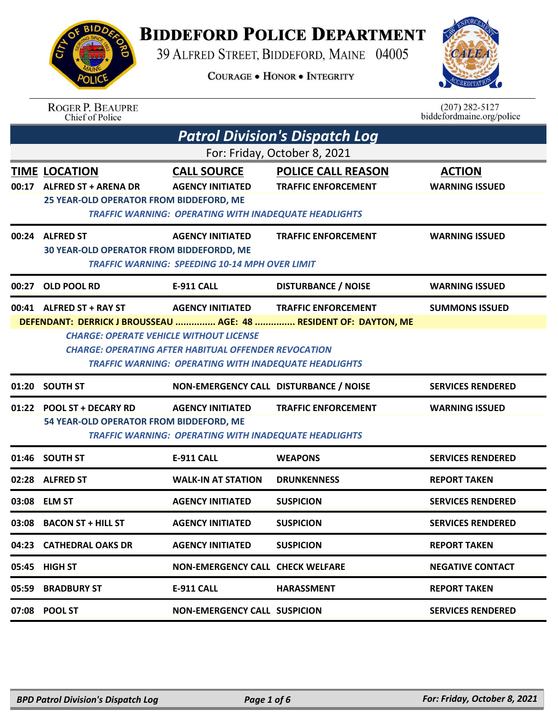## **BIDDEFORD POLICE DEPARTMENT**

39 ALFRED STREET, BIDDEFORD, MAINE 04005

**COURAGE . HONOR . INTEGRITY** 



| BIDDEX  |  |
|---------|--|
| ING SIN |  |
|         |  |
| A       |  |
|         |  |
| OL<br>Œ |  |

ROGER P. BEAUPRE<br>Chief of Police

| $(207)$ 282-5127          |  |
|---------------------------|--|
| biddefordmaine.org/police |  |

| <b>WARNING ISSUED</b><br><b>WARNING ISSUED</b> |
|------------------------------------------------|
|                                                |
|                                                |
|                                                |
|                                                |
| <b>SUMMONS ISSUED</b>                          |
|                                                |
| <b>SERVICES RENDERED</b>                       |
|                                                |
| <b>SERVICES RENDERED</b>                       |
|                                                |
| <b>SERVICES RENDERED</b>                       |
| <b>SERVICES RENDERED</b>                       |
|                                                |
| <b>NEGATIVE CONTACT</b>                        |
|                                                |
| <b>SERVICES RENDERED</b>                       |
| <b>WARNING ISSUED</b><br><b>WARNING ISSUED</b> |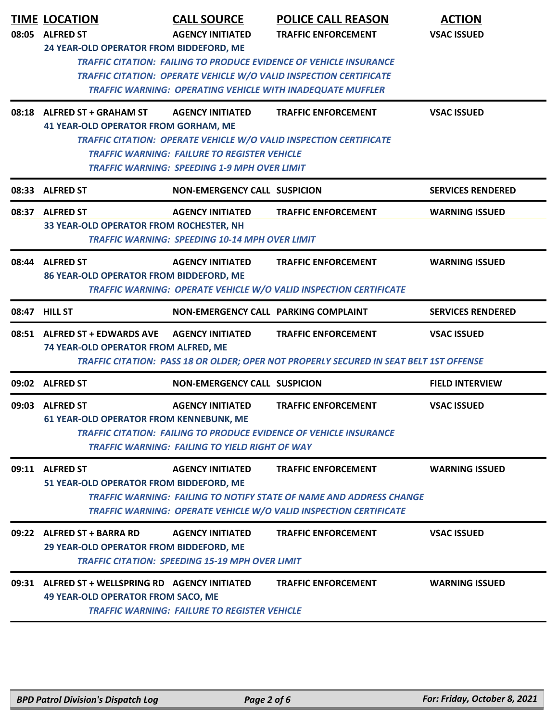| 08:05 | <b>TIME LOCATION</b><br><b>ALFRED ST</b>                                                                                                                                                                                                                        | <b>CALL SOURCE</b><br><b>AGENCY INITIATED</b>                                                                                  | <b>POLICE CALL REASON</b><br><b>TRAFFIC ENFORCEMENT</b>                                                                                                                | <b>ACTION</b><br><b>VSAC ISSUED</b> |
|-------|-----------------------------------------------------------------------------------------------------------------------------------------------------------------------------------------------------------------------------------------------------------------|--------------------------------------------------------------------------------------------------------------------------------|------------------------------------------------------------------------------------------------------------------------------------------------------------------------|-------------------------------------|
|       | 24 YEAR-OLD OPERATOR FROM BIDDEFORD, ME<br><b>TRAFFIC CITATION: FAILING TO PRODUCE EVIDENCE OF VEHICLE INSURANCE</b><br><b>TRAFFIC CITATION: OPERATE VEHICLE W/O VALID INSPECTION CERTIFICATE</b><br>TRAFFIC WARNING: OPERATING VEHICLE WITH INADEQUATE MUFFLER |                                                                                                                                |                                                                                                                                                                        |                                     |
|       | 08:18 ALFRED ST + GRAHAM ST<br><b>41 YEAR-OLD OPERATOR FROM GORHAM, ME</b>                                                                                                                                                                                      | <b>AGENCY INITIATED</b><br><b>TRAFFIC WARNING: FAILURE TO REGISTER VEHICLE</b><br>TRAFFIC WARNING: SPEEDING 1-9 MPH OVER LIMIT | <b>TRAFFIC ENFORCEMENT</b><br>TRAFFIC CITATION: OPERATE VEHICLE W/O VALID INSPECTION CERTIFICATE                                                                       | <b>VSAC ISSUED</b>                  |
|       | 08:33 ALFRED ST                                                                                                                                                                                                                                                 | NON-EMERGENCY CALL SUSPICION                                                                                                   |                                                                                                                                                                        | <b>SERVICES RENDERED</b>            |
|       | 08:37 ALFRED ST<br>33 YEAR-OLD OPERATOR FROM ROCHESTER, NH                                                                                                                                                                                                      | <b>AGENCY INITIATED</b><br><b>TRAFFIC WARNING: SPEEDING 10-14 MPH OVER LIMIT</b>                                               | <b>TRAFFIC ENFORCEMENT</b>                                                                                                                                             | <b>WARNING ISSUED</b>               |
|       | 08:44 ALFRED ST<br>86 YEAR-OLD OPERATOR FROM BIDDEFORD, ME                                                                                                                                                                                                      | <b>AGENCY INITIATED</b>                                                                                                        | <b>TRAFFIC ENFORCEMENT</b><br>TRAFFIC WARNING: OPERATE VEHICLE W/O VALID INSPECTION CERTIFICATE                                                                        | <b>WARNING ISSUED</b>               |
|       | 08:47 HILL ST                                                                                                                                                                                                                                                   | NON-EMERGENCY CALL PARKING COMPLAINT                                                                                           |                                                                                                                                                                        | <b>SERVICES RENDERED</b>            |
|       | 08:51 ALFRED ST + EDWARDS AVE<br>74 YEAR-OLD OPERATOR FROM ALFRED, ME                                                                                                                                                                                           | <b>AGENCY INITIATED</b>                                                                                                        | <b>TRAFFIC ENFORCEMENT</b><br>TRAFFIC CITATION: PASS 18 OR OLDER; OPER NOT PROPERLY SECURED IN SEAT BELT 1ST OFFENSE                                                   | <b>VSAC ISSUED</b>                  |
|       | 09:02 ALFRED ST                                                                                                                                                                                                                                                 | <b>NON-EMERGENCY CALL SUSPICION</b>                                                                                            |                                                                                                                                                                        | <b>FIELD INTERVIEW</b>              |
|       | 09:03 ALFRED ST<br><b>61 YEAR-OLD OPERATOR FROM KENNEBUNK, ME</b>                                                                                                                                                                                               | <b>AGENCY INITIATED</b><br><b>TRAFFIC WARNING: FAILING TO YIELD RIGHT OF WAY</b>                                               | <b>TRAFFIC ENFORCEMENT</b><br><b>TRAFFIC CITATION: FAILING TO PRODUCE EVIDENCE OF VEHICLE INSURANCE</b>                                                                | <b>VSAC ISSUED</b>                  |
|       | 09:11 ALFRED ST<br>51 YEAR-OLD OPERATOR FROM BIDDEFORD, ME                                                                                                                                                                                                      | <b>AGENCY INITIATED</b>                                                                                                        | <b>TRAFFIC ENFORCEMENT</b><br>TRAFFIC WARNING: FAILING TO NOTIFY STATE OF NAME AND ADDRESS CHANGE<br>TRAFFIC WARNING: OPERATE VEHICLE W/O VALID INSPECTION CERTIFICATE | <b>WARNING ISSUED</b>               |
|       | 09:22 ALFRED ST + BARRA RD<br>29 YEAR-OLD OPERATOR FROM BIDDEFORD, ME                                                                                                                                                                                           | <b>AGENCY INITIATED</b><br><b>TRAFFIC CITATION: SPEEDING 15-19 MPH OVER LIMIT</b>                                              | <b>TRAFFIC ENFORCEMENT</b>                                                                                                                                             | <b>VSAC ISSUED</b>                  |
|       | 09:31 ALFRED ST + WELLSPRING RD AGENCY INITIATED<br><b>49 YEAR-OLD OPERATOR FROM SACO, ME</b>                                                                                                                                                                   | <b>TRAFFIC WARNING: FAILURE TO REGISTER VEHICLE</b>                                                                            | <b>TRAFFIC ENFORCEMENT</b>                                                                                                                                             | <b>WARNING ISSUED</b>               |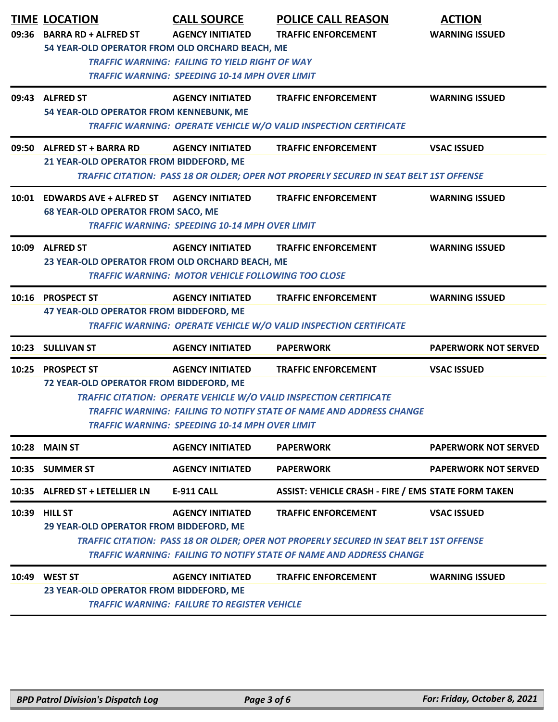|       | <b>TIME LOCATION</b>                                                          | <b>CALL SOURCE</b>                                        | <b>POLICE CALL REASON</b>                                                                     | <b>ACTION</b>               |  |
|-------|-------------------------------------------------------------------------------|-----------------------------------------------------------|-----------------------------------------------------------------------------------------------|-----------------------------|--|
|       | 09:36 BARRA RD + ALFRED ST<br>54 YEAR-OLD OPERATOR FROM OLD ORCHARD BEACH, ME | <b>AGENCY INITIATED</b>                                   | <b>TRAFFIC ENFORCEMENT</b>                                                                    | <b>WARNING ISSUED</b>       |  |
|       |                                                                               | <b>TRAFFIC WARNING: FAILING TO YIELD RIGHT OF WAY</b>     |                                                                                               |                             |  |
|       |                                                                               | TRAFFIC WARNING: SPEEDING 10-14 MPH OVER LIMIT            |                                                                                               |                             |  |
|       | 09:43 ALFRED ST                                                               | <b>AGENCY INITIATED</b>                                   | <b>TRAFFIC ENFORCEMENT</b>                                                                    | <b>WARNING ISSUED</b>       |  |
|       | 54 YEAR-OLD OPERATOR FROM KENNEBUNK, ME                                       |                                                           |                                                                                               |                             |  |
|       |                                                                               |                                                           | <b>TRAFFIC WARNING: OPERATE VEHICLE W/O VALID INSPECTION CERTIFICATE</b>                      |                             |  |
|       | 09:50 ALFRED ST + BARRA RD                                                    | <b>AGENCY INITIATED</b>                                   | <b>TRAFFIC ENFORCEMENT</b>                                                                    | <b>VSAC ISSUED</b>          |  |
|       | 21 YEAR-OLD OPERATOR FROM BIDDEFORD, ME                                       |                                                           |                                                                                               |                             |  |
|       |                                                                               |                                                           | TRAFFIC CITATION: PASS 18 OR OLDER; OPER NOT PROPERLY SECURED IN SEAT BELT 1ST OFFENSE        |                             |  |
|       | 10:01 EDWARDS AVE + ALFRED ST                                                 | <b>AGENCY INITIATED</b>                                   | <b>TRAFFIC ENFORCEMENT</b>                                                                    | <b>WARNING ISSUED</b>       |  |
|       | <b>68 YEAR-OLD OPERATOR FROM SACO, ME</b>                                     |                                                           |                                                                                               |                             |  |
|       |                                                                               | <b>TRAFFIC WARNING: SPEEDING 10-14 MPH OVER LIMIT</b>     |                                                                                               |                             |  |
|       | 10:09 ALFRED ST                                                               | <b>AGENCY INITIATED</b>                                   | <b>TRAFFIC ENFORCEMENT</b>                                                                    | <b>WARNING ISSUED</b>       |  |
|       | 23 YEAR-OLD OPERATOR FROM OLD ORCHARD BEACH, ME                               |                                                           |                                                                                               |                             |  |
|       |                                                                               | <b>TRAFFIC WARNING: MOTOR VEHICLE FOLLOWING TOO CLOSE</b> |                                                                                               |                             |  |
|       | 10:16 PROSPECT ST                                                             | <b>AGENCY INITIATED</b>                                   | <b>TRAFFIC ENFORCEMENT</b>                                                                    | <b>WARNING ISSUED</b>       |  |
|       | 47 YEAR-OLD OPERATOR FROM BIDDEFORD, ME                                       |                                                           |                                                                                               |                             |  |
|       |                                                                               |                                                           | TRAFFIC WARNING: OPERATE VEHICLE W/O VALID INSPECTION CERTIFICATE                             |                             |  |
|       | 10:23 SULLIVAN ST                                                             | <b>AGENCY INITIATED</b>                                   | <b>PAPERWORK</b>                                                                              | <b>PAPERWORK NOT SERVED</b> |  |
|       | 10:25 PROSPECT ST                                                             | <b>AGENCY INITIATED</b>                                   | <b>TRAFFIC ENFORCEMENT</b>                                                                    | <b>VSAC ISSUED</b>          |  |
|       | 72 YEAR-OLD OPERATOR FROM BIDDEFORD, ME                                       |                                                           |                                                                                               |                             |  |
|       |                                                                               |                                                           | TRAFFIC CITATION: OPERATE VEHICLE W/O VALID INSPECTION CERTIFICATE                            |                             |  |
|       |                                                                               |                                                           | TRAFFIC WARNING: FAILING TO NOTIFY STATE OF NAME AND ADDRESS CHANGE                           |                             |  |
|       |                                                                               | <b>TRAFFIC WARNING: SPEEDING 10-14 MPH OVER LIMIT</b>     |                                                                                               |                             |  |
| 10:28 | <b>MAIN ST</b>                                                                | <b>AGENCY INITIATED</b>                                   | <b>PAPERWORK</b>                                                                              | <b>PAPERWORK NOT SERVED</b> |  |
| 10:35 | <b>SUMMER ST</b>                                                              | <b>AGENCY INITIATED</b>                                   | <b>PAPERWORK</b>                                                                              | <b>PAPERWORK NOT SERVED</b> |  |
| 10:35 | <b>ALFRED ST + LETELLIER LN</b>                                               | <b>E-911 CALL</b>                                         | <b>ASSIST: VEHICLE CRASH - FIRE / EMS STATE FORM TAKEN</b>                                    |                             |  |
| 10:39 | <b>HILL ST</b>                                                                | <b>AGENCY INITIATED</b>                                   | <b>TRAFFIC ENFORCEMENT</b>                                                                    | <b>VSAC ISSUED</b>          |  |
|       | 29 YEAR-OLD OPERATOR FROM BIDDEFORD, ME                                       |                                                           |                                                                                               |                             |  |
|       |                                                                               |                                                           | <b>TRAFFIC CITATION: PASS 18 OR OLDER; OPER NOT PROPERLY SECURED IN SEAT BELT 1ST OFFENSE</b> |                             |  |
|       |                                                                               |                                                           | TRAFFIC WARNING: FAILING TO NOTIFY STATE OF NAME AND ADDRESS CHANGE                           |                             |  |
| 10:49 | <b>WEST ST</b>                                                                | <b>AGENCY INITIATED</b>                                   | <b>TRAFFIC ENFORCEMENT</b>                                                                    | <b>WARNING ISSUED</b>       |  |
|       | 23 YEAR-OLD OPERATOR FROM BIDDEFORD, ME                                       |                                                           |                                                                                               |                             |  |
|       | <b>TRAFFIC WARNING: FAILURE TO REGISTER VEHICLE</b>                           |                                                           |                                                                                               |                             |  |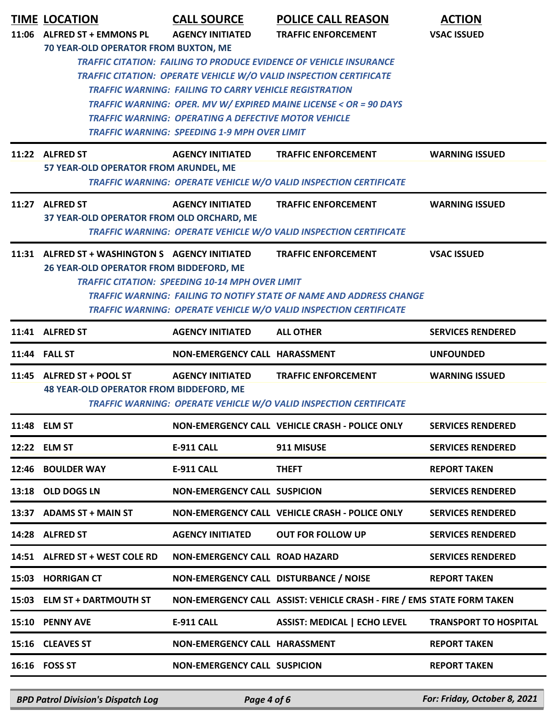| <b>TIME LOCATION</b>                            | <b>CALL SOURCE</b>                                            | <b>POLICE CALL REASON</b>                                                                                                                              | <b>ACTION</b>                |
|-------------------------------------------------|---------------------------------------------------------------|--------------------------------------------------------------------------------------------------------------------------------------------------------|------------------------------|
| 11:06 ALFRED ST + EMMONS PL                     | <b>AGENCY INITIATED</b>                                       | <b>TRAFFIC ENFORCEMENT</b>                                                                                                                             | <b>VSAC ISSUED</b>           |
| 70 YEAR-OLD OPERATOR FROM BUXTON, ME            |                                                               |                                                                                                                                                        |                              |
|                                                 |                                                               | <b>TRAFFIC CITATION: FAILING TO PRODUCE EVIDENCE OF VEHICLE INSURANCE</b>                                                                              |                              |
|                                                 |                                                               | <b>TRAFFIC CITATION: OPERATE VEHICLE W/O VALID INSPECTION CERTIFICATE</b>                                                                              |                              |
|                                                 | <b>TRAFFIC WARNING: FAILING TO CARRY VEHICLE REGISTRATION</b> |                                                                                                                                                        |                              |
|                                                 | <b>TRAFFIC WARNING: OPERATING A DEFECTIVE MOTOR VEHICLE</b>   | TRAFFIC WARNING: OPER. MV W/ EXPIRED MAINE LICENSE < OR = 90 DAYS                                                                                      |                              |
|                                                 | <b>TRAFFIC WARNING: SPEEDING 1-9 MPH OVER LIMIT</b>           |                                                                                                                                                        |                              |
|                                                 |                                                               |                                                                                                                                                        |                              |
| 11:22 ALFRED ST                                 | <b>AGENCY INITIATED</b>                                       | <b>TRAFFIC ENFORCEMENT</b>                                                                                                                             | <b>WARNING ISSUED</b>        |
| 57 YEAR-OLD OPERATOR FROM ARUNDEL, ME           |                                                               |                                                                                                                                                        |                              |
|                                                 |                                                               | <b>TRAFFIC WARNING: OPERATE VEHICLE W/O VALID INSPECTION CERTIFICATE</b>                                                                               |                              |
| 11:27 ALFRED ST                                 | <b>AGENCY INITIATED</b>                                       | <b>TRAFFIC ENFORCEMENT</b>                                                                                                                             | <b>WARNING ISSUED</b>        |
| 37 YEAR-OLD OPERATOR FROM OLD ORCHARD, ME       |                                                               |                                                                                                                                                        |                              |
|                                                 |                                                               | <b>TRAFFIC WARNING: OPERATE VEHICLE W/O VALID INSPECTION CERTIFICATE</b>                                                                               |                              |
| 11:31 ALFRED ST + WASHINGTON S AGENCY INITIATED |                                                               | <b>TRAFFIC ENFORCEMENT</b>                                                                                                                             | <b>VSAC ISSUED</b>           |
| 26 YEAR-OLD OPERATOR FROM BIDDEFORD, ME         |                                                               |                                                                                                                                                        |                              |
|                                                 | <b>TRAFFIC CITATION: SPEEDING 10-14 MPH OVER LIMIT</b>        |                                                                                                                                                        |                              |
|                                                 |                                                               | <b>TRAFFIC WARNING: FAILING TO NOTIFY STATE OF NAME AND ADDRESS CHANGE</b><br><b>TRAFFIC WARNING: OPERATE VEHICLE W/O VALID INSPECTION CERTIFICATE</b> |                              |
|                                                 |                                                               |                                                                                                                                                        |                              |
| 11:41 ALFRED ST                                 | <b>AGENCY INITIATED</b>                                       | <b>ALL OTHER</b>                                                                                                                                       | <b>SERVICES RENDERED</b>     |
| 11:44 FALL ST                                   | NON-EMERGENCY CALL HARASSMENT                                 |                                                                                                                                                        | <b>UNFOUNDED</b>             |
| 11:45 ALFRED ST + POOL ST                       | <b>AGENCY INITIATED</b>                                       | <b>TRAFFIC ENFORCEMENT</b>                                                                                                                             | <b>WARNING ISSUED</b>        |
| <b>48 YEAR-OLD OPERATOR FROM BIDDEFORD, ME</b>  |                                                               |                                                                                                                                                        |                              |
|                                                 |                                                               | <b>TRAFFIC WARNING: OPERATE VEHICLE W/O VALID INSPECTION CERTIFICATE</b>                                                                               |                              |
| 11:48 ELM ST                                    |                                                               | NON-EMERGENCY CALL VEHICLE CRASH - POLICE ONLY                                                                                                         | <b>SERVICES RENDERED</b>     |
| 12:22 ELM ST                                    | E-911 CALL                                                    | 911 MISUSE                                                                                                                                             | <b>SERVICES RENDERED</b>     |
| 12:46 BOULDER WAY                               | <b>E-911 CALL</b>                                             | <b>THEFT</b>                                                                                                                                           | <b>REPORT TAKEN</b>          |
| 13:18 OLD DOGS LN                               | <b>NON-EMERGENCY CALL SUSPICION</b>                           |                                                                                                                                                        | <b>SERVICES RENDERED</b>     |
| 13:37 ADAMS ST + MAIN ST                        |                                                               | NON-EMERGENCY CALL VEHICLE CRASH - POLICE ONLY                                                                                                         | <b>SERVICES RENDERED</b>     |
| 14:28 ALFRED ST                                 | <b>AGENCY INITIATED</b>                                       | <b>OUT FOR FOLLOW UP</b>                                                                                                                               | <b>SERVICES RENDERED</b>     |
| 14:51 ALFRED ST + WEST COLE RD                  | <b>NON-EMERGENCY CALL ROAD HAZARD</b>                         |                                                                                                                                                        | <b>SERVICES RENDERED</b>     |
| 15:03 HORRIGAN CT                               | NON-EMERGENCY CALL DISTURBANCE / NOISE                        |                                                                                                                                                        | <b>REPORT TAKEN</b>          |
| 15:03 ELM ST + DARTMOUTH ST                     |                                                               | NON-EMERGENCY CALL ASSIST: VEHICLE CRASH - FIRE / EMS STATE FORM TAKEN                                                                                 |                              |
| 15:10 PENNY AVE                                 | E-911 CALL                                                    | <b>ASSIST: MEDICAL   ECHO LEVEL</b>                                                                                                                    | <b>TRANSPORT TO HOSPITAL</b> |
| 15:16 CLEAVES ST                                | NON-EMERGENCY CALL HARASSMENT                                 |                                                                                                                                                        | <b>REPORT TAKEN</b>          |
| 16:16 FOSS ST                                   | <b>NON-EMERGENCY CALL SUSPICION</b>                           |                                                                                                                                                        | <b>REPORT TAKEN</b>          |
|                                                 |                                                               |                                                                                                                                                        |                              |

*BPD Patrol Division's Dispatch Log Page 4 of 6 For: Friday, October 8, 2021*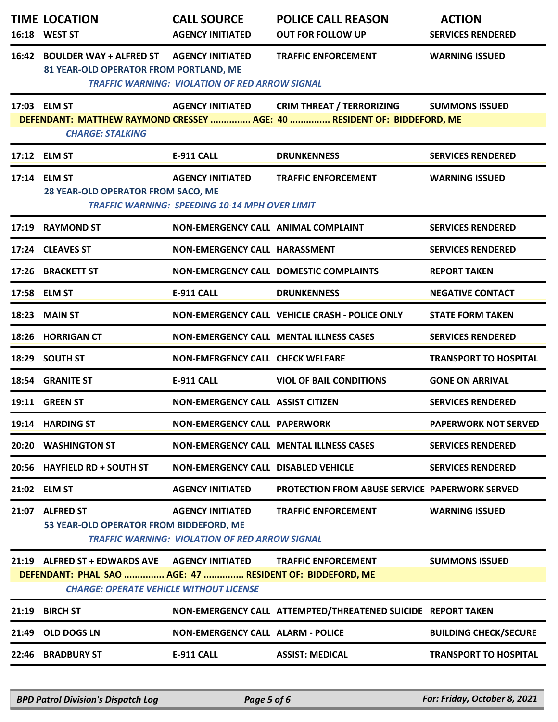| <b>TIME LOCATION</b><br>16:18 WEST ST                                                                                                                        | <b>CALL SOURCE</b><br><b>AGENCY INITIATED</b>                                    | <b>POLICE CALL REASON</b><br><b>OUT FOR FOLLOW UP</b>                                                       | <b>ACTION</b><br><b>SERVICES RENDERED</b> |
|--------------------------------------------------------------------------------------------------------------------------------------------------------------|----------------------------------------------------------------------------------|-------------------------------------------------------------------------------------------------------------|-------------------------------------------|
| 16:42 BOULDER WAY + ALFRED ST AGENCY INITIATED<br>81 YEAR-OLD OPERATOR FROM PORTLAND, ME                                                                     | <b>TRAFFIC WARNING: VIOLATION OF RED ARROW SIGNAL</b>                            | <b>TRAFFIC ENFORCEMENT</b>                                                                                  | <b>WARNING ISSUED</b>                     |
| 17:03 ELM ST<br><b>CHARGE: STALKING</b>                                                                                                                      | <b>AGENCY INITIATED</b>                                                          | <b>CRIM THREAT / TERRORIZING</b><br>DEFENDANT: MATTHEW RAYMOND CRESSEY  AGE: 40  RESIDENT OF: BIDDEFORD, ME | <b>SUMMONS ISSUED</b>                     |
| 17:12 ELM ST                                                                                                                                                 | <b>E-911 CALL</b>                                                                | <b>DRUNKENNESS</b>                                                                                          | <b>SERVICES RENDERED</b>                  |
| 17:14 ELM ST<br>28 YEAR-OLD OPERATOR FROM SACO, ME                                                                                                           | <b>AGENCY INITIATED</b><br><b>TRAFFIC WARNING: SPEEDING 10-14 MPH OVER LIMIT</b> | <b>TRAFFIC ENFORCEMENT</b>                                                                                  | <b>WARNING ISSUED</b>                     |
| 17:19 RAYMOND ST                                                                                                                                             | NON-EMERGENCY CALL ANIMAL COMPLAINT                                              |                                                                                                             | <b>SERVICES RENDERED</b>                  |
| 17:24 CLEAVES ST                                                                                                                                             | NON-EMERGENCY CALL HARASSMENT                                                    |                                                                                                             | <b>SERVICES RENDERED</b>                  |
| 17:26 BRACKETT ST                                                                                                                                            |                                                                                  | <b>NON-EMERGENCY CALL DOMESTIC COMPLAINTS</b>                                                               | <b>REPORT TAKEN</b>                       |
| 17:58 ELM ST                                                                                                                                                 | E-911 CALL                                                                       | <b>DRUNKENNESS</b>                                                                                          | <b>NEGATIVE CONTACT</b>                   |
| 18:23 MAIN ST                                                                                                                                                |                                                                                  | NON-EMERGENCY CALL VEHICLE CRASH - POLICE ONLY                                                              | <b>STATE FORM TAKEN</b>                   |
| 18:26 HORRIGAN CT                                                                                                                                            |                                                                                  | <b>NON-EMERGENCY CALL MENTAL ILLNESS CASES</b>                                                              | <b>SERVICES RENDERED</b>                  |
| 18:29 SOUTH ST                                                                                                                                               | <b>NON-EMERGENCY CALL CHECK WELFARE</b>                                          |                                                                                                             | <b>TRANSPORT TO HOSPITAL</b>              |
| 18:54 GRANITE ST                                                                                                                                             | E-911 CALL                                                                       | <b>VIOL OF BAIL CONDITIONS</b>                                                                              | <b>GONE ON ARRIVAL</b>                    |
| 19:11 GREEN ST                                                                                                                                               | <b>NON-EMERGENCY CALL ASSIST CITIZEN</b>                                         |                                                                                                             | <b>SERVICES RENDERED</b>                  |
| 19:14 HARDING ST                                                                                                                                             | <b>NON-EMERGENCY CALL PAPERWORK</b>                                              |                                                                                                             | <b>PAPERWORK NOT SERVED</b>               |
| 20:20 WASHINGTON ST                                                                                                                                          |                                                                                  | <b>NON-EMERGENCY CALL MENTAL ILLNESS CASES</b>                                                              | <b>SERVICES RENDERED</b>                  |
| 20:56 HAYFIELD RD + SOUTH ST                                                                                                                                 | <b>NON-EMERGENCY CALL DISABLED VEHICLE</b>                                       |                                                                                                             | <b>SERVICES RENDERED</b>                  |
| 21:02 ELM ST                                                                                                                                                 | <b>AGENCY INITIATED</b>                                                          | <b>PROTECTION FROM ABUSE SERVICE PAPERWORK SERVED</b>                                                       |                                           |
| 21:07 ALFRED ST<br>53 YEAR-OLD OPERATOR FROM BIDDEFORD, ME                                                                                                   | <b>AGENCY INITIATED</b><br><b>TRAFFIC WARNING: VIOLATION OF RED ARROW SIGNAL</b> | <b>TRAFFIC ENFORCEMENT</b>                                                                                  | <b>WARNING ISSUED</b>                     |
| 21:19 ALFRED ST + EDWARDS AVE AGENCY INITIATED<br>DEFENDANT: PHAL SAO  AGE: 47  RESIDENT OF: BIDDEFORD, ME<br><b>CHARGE: OPERATE VEHICLE WITHOUT LICENSE</b> |                                                                                  | <b>TRAFFIC ENFORCEMENT</b>                                                                                  | <b>SUMMONS ISSUED</b>                     |
| 21:19 BIRCH ST                                                                                                                                               |                                                                                  | NON-EMERGENCY CALL ATTEMPTED/THREATENED SUICIDE REPORT TAKEN                                                |                                           |
| 21:49 OLD DOGS LN                                                                                                                                            | <b>NON-EMERGENCY CALL ALARM - POLICE</b>                                         |                                                                                                             | <b>BUILDING CHECK/SECURE</b>              |
| 22:46 BRADBURY ST                                                                                                                                            | <b>E-911 CALL</b>                                                                | <b>ASSIST: MEDICAL</b>                                                                                      | <b>TRANSPORT TO HOSPITAL</b>              |

*BPD Patrol Division's Dispatch Log Page 5 of 6 For: Friday, October 8, 2021*